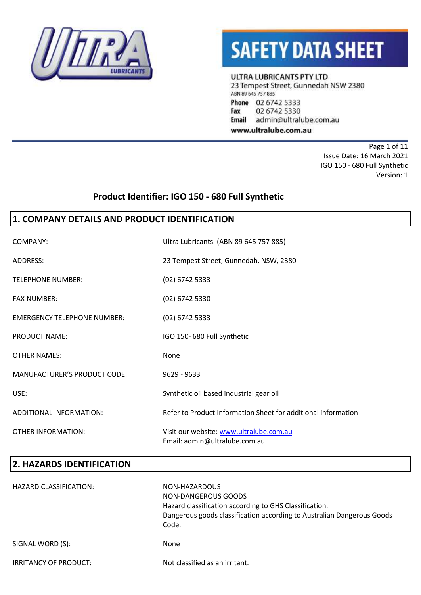



ULTRA LUBRICANTS PTY LTD

23 Tempest Street, Gunnedah NSW 2380 ABN 89 645 757 885 Phone 02 6742 5333 Fax 02 6742 5330 **Email** admin@ultralube.com.au www.ultralube.com.au

Page 1 of 11 Issue Date: 16 March 2021 IGO 150 - 680 Full Synthetic Version: 1

## **Product Identifier: IGO 150 - 680 Full Synthetic**

### **1. COMPANY DETAILS AND PRODUCT IDENTIFICATION**

| COMPANY:                            | Ultra Lubricants. (ABN 89 645 757 885)                                   |
|-------------------------------------|--------------------------------------------------------------------------|
| ADDRESS:                            | 23 Tempest Street, Gunnedah, NSW, 2380                                   |
| <b>TELEPHONE NUMBER:</b>            | (02) 6742 5333                                                           |
| <b>FAX NUMBER:</b>                  | (02) 6742 5330                                                           |
| <b>EMERGENCY TELEPHONE NUMBER:</b>  | (02) 6742 5333                                                           |
| PRODUCT NAME:                       | IGO 150-680 Full Synthetic                                               |
| <b>OTHER NAMES:</b>                 | None                                                                     |
| <b>MANUFACTURER'S PRODUCT CODE:</b> | $9629 - 9633$                                                            |
| USE:                                | Synthetic oil based industrial gear oil                                  |
| ADDITIONAL INFORMATION:             | Refer to Product Information Sheet for additional information            |
| <b>OTHER INFORMATION:</b>           | Visit our website: www.ultralube.com.au<br>Email: admin@ultralube.com.au |

| <b>2. HAZARDS IDENTIFICATION</b> |                                                                                                                                                                                   |
|----------------------------------|-----------------------------------------------------------------------------------------------------------------------------------------------------------------------------------|
| HAZARD CLASSIFICATION:           | NON-HAZARDOUS<br>NON-DANGEROUS GOODS<br>Hazard classification according to GHS Classification.<br>Dangerous goods classification according to Australian Dangerous Goods<br>Code. |
| SIGNAL WORD (S):                 | None                                                                                                                                                                              |
| IRRITANCY OF PRODUCT:            | Not classified as an irritant.                                                                                                                                                    |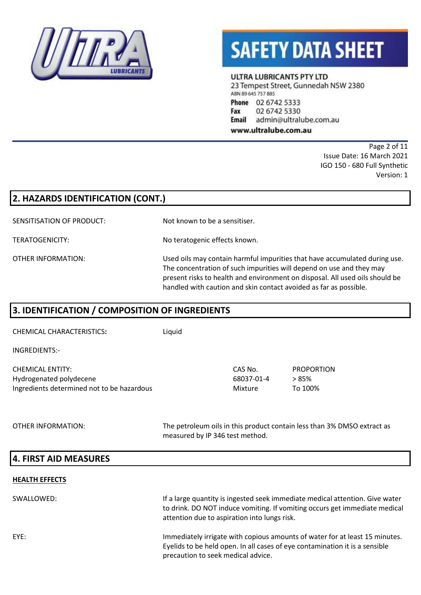



ULTRA LUBRICANTS PTY LTD

23 Tempest Street, Gunnedah NSW 2380 ABN 89 645 757 885 Phone 02 6742 5333 Fax 02 6742 5330 Email admin@ultralube.com.au

www.ultralube.com.au

Page 2 of 11 Issue Date: 16 March 2021 IGO 150 - 680 Full Synthetic Version: 1

| 2. HAZARDS IDENTIFICATION (CONT.) |                                                                                                                                                                                                                                                                                                         |  |
|-----------------------------------|---------------------------------------------------------------------------------------------------------------------------------------------------------------------------------------------------------------------------------------------------------------------------------------------------------|--|
| SENSITISATION OF PRODUCT:         | Not known to be a sensitiser.                                                                                                                                                                                                                                                                           |  |
| TERATOGENICITY:                   | No teratogenic effects known.                                                                                                                                                                                                                                                                           |  |
| OTHER INFORMATION:                | Used oils may contain harmful impurities that have accumulated during use.<br>The concentration of such impurities will depend on use and they may<br>present risks to health and environment on disposal. All used oils should be<br>handled with caution and skin contact avoided as far as possible. |  |

## **3. IDENTIFICATION / COMPOSITION OF INGREDIENTS**

CHEMICAL CHARACTERISTICS**:** Liquid

INGREDIENTS:-

| CHEMICAL ENTITY:                           | CAS No.    | PROPORTION |
|--------------------------------------------|------------|------------|
| Hydrogenated polydecene                    | 68037-01-4 | > 85%      |
| Ingredients determined not to be hazardous | Mixture    | To 100%    |

OTHER INFORMATION: The petroleum oils in this product contain less than 3% DMSO extract as measured by IP 346 test method.

### **4. FIRST AID MEASURES**

#### **HEALTH EFFECTS**

SWALLOWED: If a large quantity is ingested seek immediate medical attention. Give water to drink. DO NOT induce vomiting. If vomiting occurs get immediate medical attention due to aspiration into lungs risk. EYE: Immediately irrigate with copious amounts of water for at least 15 minutes. Eyelids to be held open. In all cases of eye contamination it is a sensible precaution to seek medical advice.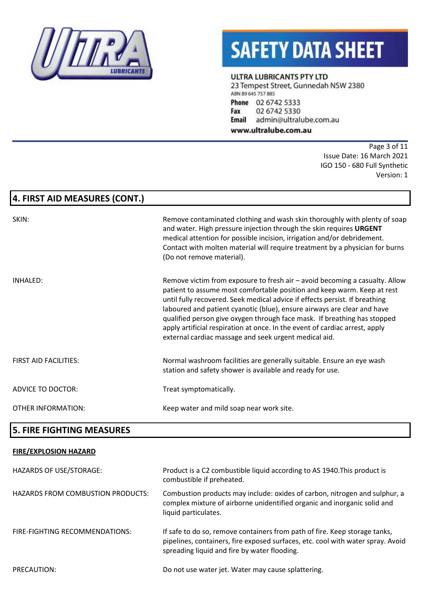

#### ULTRA LUBRICANTS PTY LTD

23 Tempest Street, Gunnedah NSW 2380 ABN 89 645 757 885 Phone 02 6742 5333 Fax 02 6742 5330 **Email** admin@ultralube.com.au

www.ultralube.com.au

Page 3 of 11 Issue Date: 16 March 2021 IGO 150 - 680 Full Synthetic Version: 1

## **4. FIRST AID MEASURES (CONT.)**

| SKIN:                        | Remove contaminated clothing and wash skin thoroughly with plenty of soap<br>and water. High pressure injection through the skin requires URGENT<br>medical attention for possible incision, irrigation and/or debridement.<br>Contact with molten material will require treatment by a physician for burns<br>(Do not remove material).                                                                                                                                                                                             |
|------------------------------|--------------------------------------------------------------------------------------------------------------------------------------------------------------------------------------------------------------------------------------------------------------------------------------------------------------------------------------------------------------------------------------------------------------------------------------------------------------------------------------------------------------------------------------|
| INHALED:                     | Remove victim from exposure to fresh air – avoid becoming a casualty. Allow<br>patient to assume most comfortable position and keep warm. Keep at rest<br>until fully recovered. Seek medical advice if effects persist. If breathing<br>laboured and patient cyanotic (blue), ensure airways are clear and have<br>qualified person give oxygen through face mask. If breathing has stopped<br>apply artificial respiration at once. In the event of cardiac arrest, apply<br>external cardiac massage and seek urgent medical aid. |
| <b>FIRST AID FACILITIES:</b> | Normal washroom facilities are generally suitable. Ensure an eye wash<br>station and safety shower is available and ready for use.                                                                                                                                                                                                                                                                                                                                                                                                   |
| <b>ADVICE TO DOCTOR:</b>     | Treat symptomatically.                                                                                                                                                                                                                                                                                                                                                                                                                                                                                                               |
| OTHER INFORMATION:           | Keep water and mild soap near work site.                                                                                                                                                                                                                                                                                                                                                                                                                                                                                             |

### **5. FIRE FIGHTING MEASURES**

#### **FIRE/EXPLOSION HAZARD**

| <b>HAZARDS OF USE/STORAGE:</b>           | Product is a C2 combustible liquid according to AS 1940. This product is<br>combustible if preheated.                                                                                                         |
|------------------------------------------|---------------------------------------------------------------------------------------------------------------------------------------------------------------------------------------------------------------|
| <b>HAZARDS FROM COMBUSTION PRODUCTS:</b> | Combustion products may include: oxides of carbon, nitrogen and sulphur, a<br>complex mixture of airborne unidentified organic and inorganic solid and<br>liquid particulates.                                |
| FIRE-FIGHTING RECOMMENDATIONS:           | If safe to do so, remove containers from path of fire. Keep storage tanks,<br>pipelines, containers, fire exposed surfaces, etc. cool with water spray. Avoid<br>spreading liquid and fire by water flooding. |
| PRECAUTION:                              | Do not use water jet. Water may cause splattering.                                                                                                                                                            |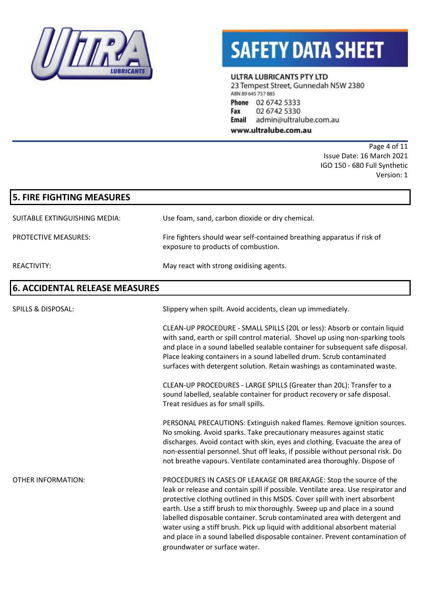

#### ULTRA LUBRICANTS PTY LTD

23 Tempest Street, Gunnedah NSW 2380 ABN 89 645 757 885 Phone 02 6742 5333 Fax 02 6742 5330 **Email** admin@ultralube.com.au

www.ultralube.com.au

Page 4 of 11 Issue Date: 16 March 2021 IGO 150 - 680 Full Synthetic Version: 1

| <b>5. FIRE FIGHTING MEASURES</b>      |                                                                                                                                                                                                                                                                                                                                                                                                                                                                                                                                                                                                   |
|---------------------------------------|---------------------------------------------------------------------------------------------------------------------------------------------------------------------------------------------------------------------------------------------------------------------------------------------------------------------------------------------------------------------------------------------------------------------------------------------------------------------------------------------------------------------------------------------------------------------------------------------------|
| SUITABLE EXTINGUISHING MEDIA:         | Use foam, sand, carbon dioxide or dry chemical.                                                                                                                                                                                                                                                                                                                                                                                                                                                                                                                                                   |
| <b>PROTECTIVE MEASURES:</b>           | Fire fighters should wear self-contained breathing apparatus if risk of<br>exposure to products of combustion.                                                                                                                                                                                                                                                                                                                                                                                                                                                                                    |
| <b>REACTIVITY:</b>                    | May react with strong oxidising agents.                                                                                                                                                                                                                                                                                                                                                                                                                                                                                                                                                           |
| <b>6. ACCIDENTAL RELEASE MEASURES</b> |                                                                                                                                                                                                                                                                                                                                                                                                                                                                                                                                                                                                   |
| <b>SPILLS &amp; DISPOSAL:</b>         | Slippery when spilt. Avoid accidents, clean up immediately.                                                                                                                                                                                                                                                                                                                                                                                                                                                                                                                                       |
|                                       | CLEAN-UP PROCEDURE - SMALL SPILLS (20L or less): Absorb or contain liquid<br>with sand, earth or spill control material. Shovel up using non-sparking tools<br>and place in a sound labelled sealable container for subsequent safe disposal.<br>Place leaking containers in a sound labelled drum. Scrub contaminated<br>surfaces with detergent solution. Retain washings as contaminated waste.                                                                                                                                                                                                |
|                                       | CLEAN-UP PROCEDURES - LARGE SPILLS (Greater than 20L): Transfer to a<br>sound labelled, sealable container for product recovery or safe disposal.<br>Treat residues as for small spills.                                                                                                                                                                                                                                                                                                                                                                                                          |
|                                       | PERSONAL PRECAUTIONS: Extinguish naked flames. Remove ignition sources.<br>No smoking. Avoid sparks. Take precautionary measures against static<br>discharges. Avoid contact with skin, eyes and clothing. Evacuate the area of<br>non-essential personnel. Shut off leaks, if possible without personal risk. Do<br>not breathe vapours. Ventilate contaminated area thoroughly. Dispose of                                                                                                                                                                                                      |
| <b>OTHER INFORMATION:</b>             | PROCEDURES IN CASES OF LEAKAGE OR BREAKAGE: Stop the source of the<br>leak or release and contain spill if possible. Ventilate area. Use respirator and<br>protective clothing outlined in this MSDS. Cover spill with inert absorbent<br>earth. Use a stiff brush to mix thoroughly. Sweep up and place in a sound<br>labelled disposable container. Scrub contaminated area with detergent and<br>water using a stiff brush. Pick up liquid with additional absorbent material<br>and place in a sound labelled disposable container. Prevent contamination of<br>groundwater or surface water. |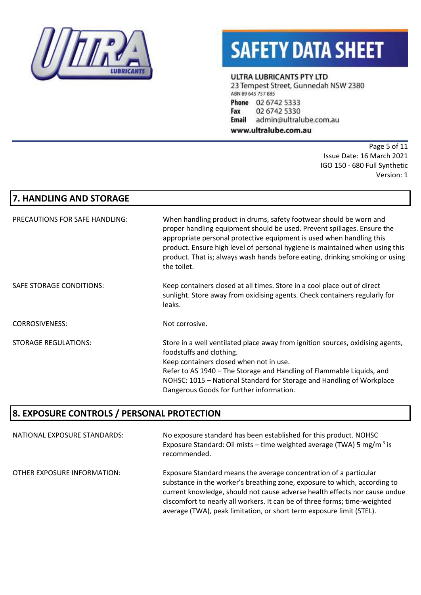

#### ULTRA LUBRICANTS PTY LTD

23 Tempest Street, Gunnedah NSW 2380 ABN 89 645 757 885 Phone 02 6742 5333 Fax 02 6742 5330 **Email** admin@ultralube.com.au

www.ultralube.com.au

Page 5 of 11 Issue Date: 16 March 2021 IGO 150 - 680 Full Synthetic Version: 1

## **7. HANDLING AND STORAGE**

| PRECAUTIONS FOR SAFE HANDLING: | When handling product in drums, safety footwear should be worn and<br>proper handling equipment should be used. Prevent spillages. Ensure the<br>appropriate personal protective equipment is used when handling this<br>product. Ensure high level of personal hygiene is maintained when using this<br>product. That is; always wash hands before eating, drinking smoking or using<br>the toilet. |
|--------------------------------|------------------------------------------------------------------------------------------------------------------------------------------------------------------------------------------------------------------------------------------------------------------------------------------------------------------------------------------------------------------------------------------------------|
| SAFE STORAGE CONDITIONS:       | Keep containers closed at all times. Store in a cool place out of direct<br>sunlight. Store away from oxidising agents. Check containers regularly for<br>leaks.                                                                                                                                                                                                                                     |
| <b>CORROSIVENESS:</b>          | Not corrosive.                                                                                                                                                                                                                                                                                                                                                                                       |
| <b>STORAGE REGULATIONS:</b>    | Store in a well ventilated place away from ignition sources, oxidising agents,<br>foodstuffs and clothing.<br>Keep containers closed when not in use.<br>Refer to AS 1940 - The Storage and Handling of Flammable Liquids, and<br>NOHSC: 1015 – National Standard for Storage and Handling of Workplace<br>Dangerous Goods for further information.                                                  |

## **8. EXPOSURE CONTROLS / PERSONAL PROTECTION**

| NATIONAL EXPOSURE STANDARDS: | No exposure standard has been established for this product. NOHSC<br>Exposure Standard: Oil mists – time weighted average (TWA) 5 mg/m <sup>3</sup> is<br>recommended.                                                                                                                                                                                                            |
|------------------------------|-----------------------------------------------------------------------------------------------------------------------------------------------------------------------------------------------------------------------------------------------------------------------------------------------------------------------------------------------------------------------------------|
| OTHER EXPOSURE INFORMATION:  | Exposure Standard means the average concentration of a particular<br>substance in the worker's breathing zone, exposure to which, according to<br>current knowledge, should not cause adverse health effects nor cause undue<br>discomfort to nearly all workers. It can be of three forms; time-weighted<br>average (TWA), peak limitation, or short term exposure limit (STEL). |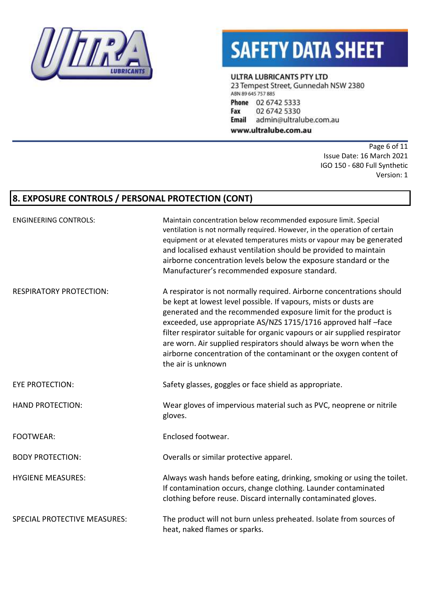

ULTRA LUBRICANTS PTY LTD

23 Tempest Street, Gunnedah NSW 2380 ABN 89 645 757 885 Phone 02 6742 5333 Fax 02 6742 5330 **Email** admin@ultralube.com.au

www.ultralube.com.au

Page 6 of 11 Issue Date: 16 March 2021 IGO 150 - 680 Full Synthetic Version: 1

## **8. EXPOSURE CONTROLS / PERSONAL PROTECTION (CONT)**

| <b>ENGINEERING CONTROLS:</b>        | Maintain concentration below recommended exposure limit. Special<br>ventilation is not normally required. However, in the operation of certain<br>equipment or at elevated temperatures mists or vapour may be generated<br>and localised exhaust ventilation should be provided to maintain<br>airborne concentration levels below the exposure standard or the<br>Manufacturer's recommended exposure standard.                                                                                                            |
|-------------------------------------|------------------------------------------------------------------------------------------------------------------------------------------------------------------------------------------------------------------------------------------------------------------------------------------------------------------------------------------------------------------------------------------------------------------------------------------------------------------------------------------------------------------------------|
| <b>RESPIRATORY PROTECTION:</b>      | A respirator is not normally required. Airborne concentrations should<br>be kept at lowest level possible. If vapours, mists or dusts are<br>generated and the recommended exposure limit for the product is<br>exceeded, use appropriate AS/NZS 1715/1716 approved half -face<br>filter respirator suitable for organic vapours or air supplied respirator<br>are worn. Air supplied respirators should always be worn when the<br>airborne concentration of the contaminant or the oxygen content of<br>the air is unknown |
| <b>EYE PROTECTION:</b>              | Safety glasses, goggles or face shield as appropriate.                                                                                                                                                                                                                                                                                                                                                                                                                                                                       |
| <b>HAND PROTECTION:</b>             | Wear gloves of impervious material such as PVC, neoprene or nitrile<br>gloves.                                                                                                                                                                                                                                                                                                                                                                                                                                               |
| <b>FOOTWEAR:</b>                    | Enclosed footwear.                                                                                                                                                                                                                                                                                                                                                                                                                                                                                                           |
| <b>BODY PROTECTION:</b>             | Overalls or similar protective apparel.                                                                                                                                                                                                                                                                                                                                                                                                                                                                                      |
| <b>HYGIENE MEASURES:</b>            | Always wash hands before eating, drinking, smoking or using the toilet.<br>If contamination occurs, change clothing. Launder contaminated<br>clothing before reuse. Discard internally contaminated gloves.                                                                                                                                                                                                                                                                                                                  |
| <b>SPECIAL PROTECTIVE MEASURES:</b> | The product will not burn unless preheated. Isolate from sources of<br>heat, naked flames or sparks.                                                                                                                                                                                                                                                                                                                                                                                                                         |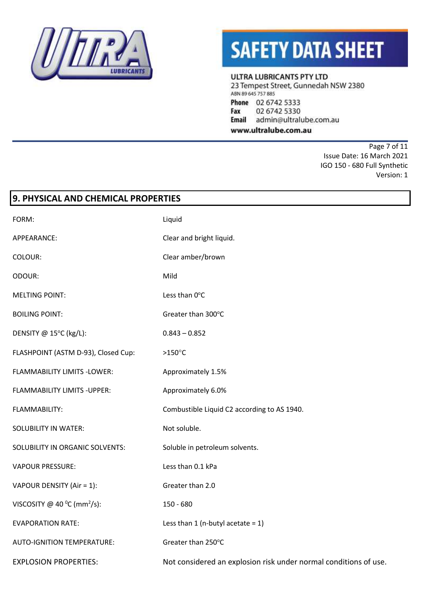

#### ULTRA LUBRICANTS PTY LTD

23 Tempest Street, Gunnedah NSW 2380 ABN 89 645 757 885 Phone 02 6742 5333 Fax 02 6742 5330 **Email** admin@ultralube.com.au

www.ultralube.com.au

Page 7 of 11 Issue Date: 16 March 2021 IGO 150 - 680 Full Synthetic Version: 1

| 9. PHYSICAL AND CHEMICAL PROPERTIES               |                                                                  |  |
|---------------------------------------------------|------------------------------------------------------------------|--|
| FORM:                                             | Liquid                                                           |  |
| APPEARANCE:                                       | Clear and bright liquid.                                         |  |
| COLOUR:                                           | Clear amber/brown                                                |  |
| ODOUR:                                            | Mild                                                             |  |
| <b>MELTING POINT:</b>                             | Less than 0°C                                                    |  |
| <b>BOILING POINT:</b>                             | Greater than 300°C                                               |  |
| DENSITY @ 15°C (kg/L):                            | $0.843 - 0.852$                                                  |  |
| FLASHPOINT (ASTM D-93), Closed Cup:               | $>150^{\circ}$ C                                                 |  |
| FLAMMABILITY LIMITS -LOWER:                       | Approximately 1.5%                                               |  |
| <b>FLAMMABILITY LIMITS - UPPER:</b>               | Approximately 6.0%                                               |  |
| FLAMMABILITY:                                     | Combustible Liquid C2 according to AS 1940.                      |  |
| <b>SOLUBILITY IN WATER:</b>                       | Not soluble.                                                     |  |
| SOLUBILITY IN ORGANIC SOLVENTS:                   | Soluble in petroleum solvents.                                   |  |
| <b>VAPOUR PRESSURE:</b>                           | Less than 0.1 kPa                                                |  |
| VAPOUR DENSITY (Air = 1):                         | Greater than 2.0                                                 |  |
| VISCOSITY @ 40 $^{\circ}$ C (mm <sup>2</sup> /s): | 150 - 680                                                        |  |
| <b>EVAPORATION RATE:</b>                          | Less than 1 (n-butyl acetate = $1$ )                             |  |
| <b>AUTO-IGNITION TEMPERATURE:</b>                 | Greater than 250°C                                               |  |
| <b>EXPLOSION PROPERTIES:</b>                      | Not considered an explosion risk under normal conditions of use. |  |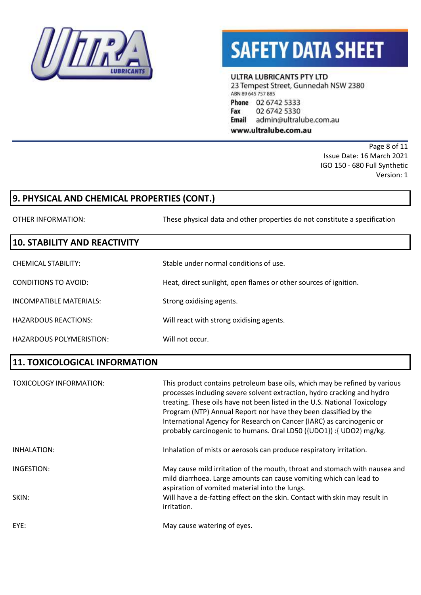

#### **ULTRA LUBRICANTS PTY LTD**

23 Tempest Street, Gunnedah NSW 2380 ABN 89 645 757 885 Phone 02 6742 5333 Fax 02 6742 5330 **Email** admin@ultralube.com.au www.ultralube.com.au

> Page 8 of 11 Issue Date: 16 March 2021 IGO 150 - 680 Full Synthetic Version: 1

## **9. PHYSICAL AND CHEMICAL PROPERTIES (CONT.)**

OTHER INFORMATION: These physical data and other properties do not constitute a specification

### **10. STABILITY AND REACTIVITY**

| CHEMICAL STABILITY:      | Stable under normal conditions of use.                           |
|--------------------------|------------------------------------------------------------------|
| CONDITIONS TO AVOID:     | Heat, direct sunlight, open flames or other sources of ignition. |
| INCOMPATIBLE MATERIALS:  | Strong oxidising agents.                                         |
| HAZARDOUS REACTIONS:     | Will react with strong oxidising agents.                         |
| HAZARDOUS POLYMERISTION: | Will not occur.                                                  |

### **11. TOXICOLOGICAL INFORMATION**

| TOXICOLOGY INFORMATION: | This product contains petroleum base oils, which may be refined by various<br>processes including severe solvent extraction, hydro cracking and hydro<br>treating. These oils have not been listed in the U.S. National Toxicology<br>Program (NTP) Annual Report nor have they been classified by the<br>International Agency for Research on Cancer (IARC) as carcinogenic or<br>probably carcinogenic to humans. Oral LD50 ({UDO1}) : { UDO2} mg/kg. |
|-------------------------|---------------------------------------------------------------------------------------------------------------------------------------------------------------------------------------------------------------------------------------------------------------------------------------------------------------------------------------------------------------------------------------------------------------------------------------------------------|
| INHALATION:             | Inhalation of mists or aerosols can produce respiratory irritation.                                                                                                                                                                                                                                                                                                                                                                                     |
| INGESTION:              | May cause mild irritation of the mouth, throat and stomach with nausea and<br>mild diarrhoea. Large amounts can cause vomiting which can lead to<br>aspiration of vomited material into the lungs.                                                                                                                                                                                                                                                      |
| SKIN:                   | Will have a de-fatting effect on the skin. Contact with skin may result in<br>irritation.                                                                                                                                                                                                                                                                                                                                                               |
| EYE:                    | May cause watering of eyes.                                                                                                                                                                                                                                                                                                                                                                                                                             |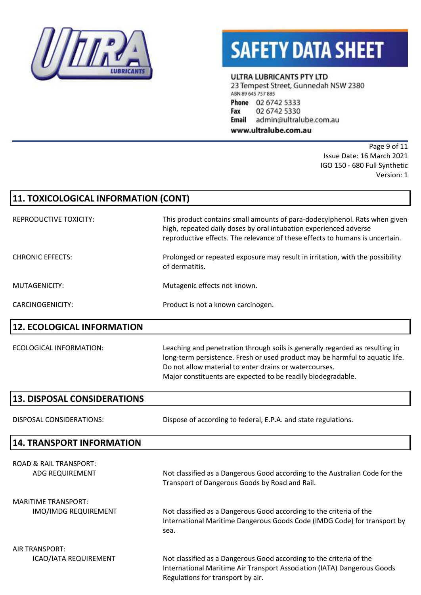

#### ULTRA LUBRICANTS PTY LTD

23 Tempest Street, Gunnedah NSW 2380 ABN 89 645 757 885 Phone 02 6742 5333 02 6742 5330 Fax **Email** admin@ultralube.com.au

www.ultralube.com.au

Page 9 of 11 Issue Date: 16 March 2021 IGO 150 - 680 Full Synthetic Version: 1

| 11. TOXICOLOGICAL INFORMATION (CONT)                  |                                                                                                                                                                                                                                                                                        |  |
|-------------------------------------------------------|----------------------------------------------------------------------------------------------------------------------------------------------------------------------------------------------------------------------------------------------------------------------------------------|--|
| <b>REPRODUCTIVE TOXICITY:</b>                         | This product contains small amounts of para-dodecylphenol. Rats when given<br>high, repeated daily doses by oral intubation experienced adverse<br>reproductive effects. The relevance of these effects to humans is uncertain.                                                        |  |
| <b>CHRONIC EFFECTS:</b>                               | Prolonged or repeated exposure may result in irritation, with the possibility<br>of dermatitis.                                                                                                                                                                                        |  |
| <b>MUTAGENICITY:</b>                                  | Mutagenic effects not known.                                                                                                                                                                                                                                                           |  |
| <b>CARCINOGENICITY:</b>                               | Product is not a known carcinogen.                                                                                                                                                                                                                                                     |  |
| <b>12. ECOLOGICAL INFORMATION</b>                     |                                                                                                                                                                                                                                                                                        |  |
| ECOLOGICAL INFORMATION:                               | Leaching and penetration through soils is generally regarded as resulting in<br>long-term persistence. Fresh or used product may be harmful to aquatic life.<br>Do not allow material to enter drains or watercourses.<br>Major constituents are expected to be readily biodegradable. |  |
| <b>13. DISPOSAL CONSIDERATIONS</b>                    |                                                                                                                                                                                                                                                                                        |  |
| DISPOSAL CONSIDERATIONS:                              | Dispose of according to federal, E.P.A. and state regulations.                                                                                                                                                                                                                         |  |
| <b>14. TRANSPORT INFORMATION</b>                      |                                                                                                                                                                                                                                                                                        |  |
| <b>ROAD &amp; RAIL TRANSPORT:</b><br>ADG REQUIREMENT  | Not classified as a Dangerous Good according to the Australian Code for the<br>Transport of Dangerous Goods by Road and Rail.                                                                                                                                                          |  |
| <b>MARITIME TRANSPORT:</b><br>IMO/IMDG REQUIREMENT    | Not classified as a Dangerous Good according to the criteria of the<br>International Maritime Dangerous Goods Code (IMDG Code) for transport by<br>sea.                                                                                                                                |  |
| <b>AIR TRANSPORT:</b><br><b>ICAO/IATA REQUIREMENT</b> | Not classified as a Dangerous Good according to the criteria of the<br>International Maritime Air Transport Association (IATA) Dangerous Goods                                                                                                                                         |  |

Regulations for transport by air.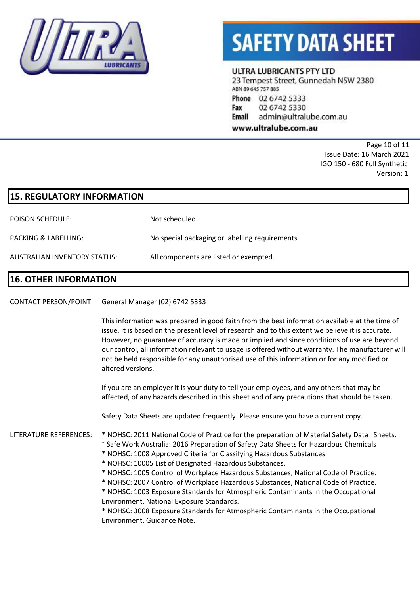

#### ULTRA LUBRICANTS PTY LTD

23 Tempest Street, Gunnedah NSW 2380 ABN 89 645 757 885 Phone 02 6742 5333 02 6742 5330 Fax

admin@ultralube.com.au Email

www.ultralube.com.au

Page 10 of 11 Issue Date: 16 March 2021 IGO 150 - 680 Full Synthetic Version: 1

| <b>15. REGULATORY INFORMATION</b> |                                                 |
|-----------------------------------|-------------------------------------------------|
| <b>POISON SCHEDULE:</b>           | Not scheduled.                                  |
| PACKING & LABELLING:              | No special packaging or labelling requirements. |
| AUSTRALIAN INVENTORY STATUS:      | All components are listed or exempted.          |
|                                   |                                                 |

### **16. OTHER INFORMATION**

CONTACT PERSON/POINT: General Manager (02) 6742 5333

This information was prepared in good faith from the best information available at the time of issue. It is based on the present level of research and to this extent we believe it is accurate. However, no guarantee of accuracy is made or implied and since conditions of use are beyond our control, all information relevant to usage is offered without warranty. The manufacturer will not be held responsible for any unauthorised use of this information or for any modified or altered versions.

If you are an employer it is your duty to tell your employees, and any others that may be affected, of any hazards described in this sheet and of any precautions that should be taken.

Safety Data Sheets are updated frequently. Please ensure you have a current copy.

LITERATURE REFERENCES: \* NOHSC: 2011 National Code of Practice for the preparation of Material Safety Data Sheets.

- \* Safe Work Australia: 2016 Preparation of Safety Data Sheets for Hazardous Chemicals
	- \* NOHSC: 1008 Approved Criteria for Classifying Hazardous Substances.
	- \* NOHSC: 10005 List of Designated Hazardous Substances.
	- \* NOHSC: 1005 Control of Workplace Hazardous Substances, National Code of Practice.
	- \* NOHSC: 2007 Control of Workplace Hazardous Substances, National Code of Practice.
	- \* NOHSC: 1003 Exposure Standards for Atmospheric Contaminants in the Occupational Environment, National Exposure Standards.

\* NOHSC: 3008 Exposure Standards for Atmospheric Contaminants in the Occupational Environment, Guidance Note.